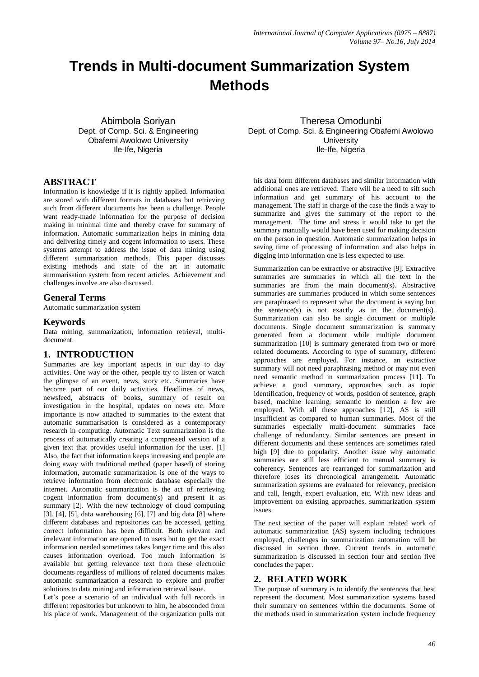# **Trends in Multi-document Summarization System Methods**

Abimbola Soriyan Dept. of Comp. Sci. & Engineering Obafemi Awolowo University Ile-Ife, Nigeria

## **ABSTRACT**

Information is knowledge if it is rightly applied. Information are stored with different formats in databases but retrieving such from different documents has been a challenge. People want ready-made information for the purpose of decision making in minimal time and thereby crave for summary of information. Automatic summarization helps in mining data and delivering timely and cogent information to users. These systems attempt to address the issue of data mining using different summarization methods. This paper discusses existing methods and state of the art in automatic summarisation system from recent articles. Achievement and challenges involve are also discussed.

## **General Terms**

Automatic summarization system

#### **Keywords**

Data mining, summarization, information retrieval, multidocument.

## **1. INTRODUCTION**

Summaries are key important aspects in our day to day activities. One way or the other, people try to listen or watch the glimpse of an event, news, story etc. Summaries have become part of our daily activities. Headlines of news, newsfeed, abstracts of books, summary of result on investigation in the hospital, updates on news etc. More importance is now attached to summaries to the extent that automatic summarisation is considered as a contemporary research in computing. Automatic Text summarization is the process of automatically creating a compressed version of a given text that provides useful information for the user. [1] Also, the fact that information keeps increasing and people are doing away with traditional method (paper based) of storing information, automatic summarization is one of the ways to retrieve information from electronic database especially the internet. Automatic summarization is the act of retrieving cogent information from document(s) and present it as summary [2]. With the new technology of cloud computing [3], [4], [5], data warehousing [6], [7] and big data [8] where different databases and repositories can be accessed, getting correct information has been difficult. Both relevant and irrelevant information are opened to users but to get the exact information needed sometimes takes longer time and this also causes information overload. Too much information is available but getting relevance text from these electronic documents regardless of millions of related documents makes automatic summarization a research to explore and proffer solutions to data mining and information retrieval issue.

Let's pose a scenario of an individual with full records in different repositories but unknown to him, he absconded from his place of work. Management of the organization pulls out

Theresa Omodunbi Dept. of Comp. Sci. & Engineering Obafemi Awolowo **University** Ile-Ife, Nigeria

his data form different databases and similar information with additional ones are retrieved. There will be a need to sift such information and get summary of his account to the management. The staff in charge of the case the finds a way to summarize and gives the summary of the report to the management. The time and stress it would take to get the summary manually would have been used for making decision on the person in question. Automatic summarization helps in saving time of processing of information and also helps in digging into information one is less expected to use.

Summarization can be extractive or abstractive [9]. Extractive summaries are summaries in which all the text in the summaries are from the main document(s). Abstractive summaries are summaries produced in which some sentences are paraphrased to represent what the document is saying but the sentence(s) is not exactly as in the document(s). Summarization can also be single document or multiple documents. Single document summarization is summary generated from a document while multiple document summarization [10] is summary generated from two or more related documents. According to type of summary, different approaches are employed. For instance, an extractive summary will not need paraphrasing method or may not even need semantic method in summarization process [11]. To achieve a good summary, approaches such as topic identification, frequency of words, position of sentence, graph based, machine learning, semantic to mention a few are employed. With all these approaches [12], AS is still insufficient as compared to human summaries. Most of the summaries especially multi-document summaries face challenge of redundancy. Similar sentences are present in different documents and these sentences are sometimes rated high [9] due to popularity. Another issue why automatic summaries are still less efficient to manual summary is coherency. Sentences are rearranged for summarization and therefore loses its chronological arrangement. Automatic summarization systems are evaluated for relevancy, precision and call, length, expert evaluation, etc. With new ideas and improvement on existing approaches, summarization system issues.

The next section of the paper will explain related work of automatic summarization (AS) system including techniques employed, challenges in summarization automation will be discussed in section three. Current trends in automatic summarization is discussed in section four and section five concludes the paper.

# **2. RELATED WORK**

The purpose of summary is to identify the sentences that best represent the document. Most summarization systems based their summary on sentences within the documents. Some of the methods used in summarization system include frequency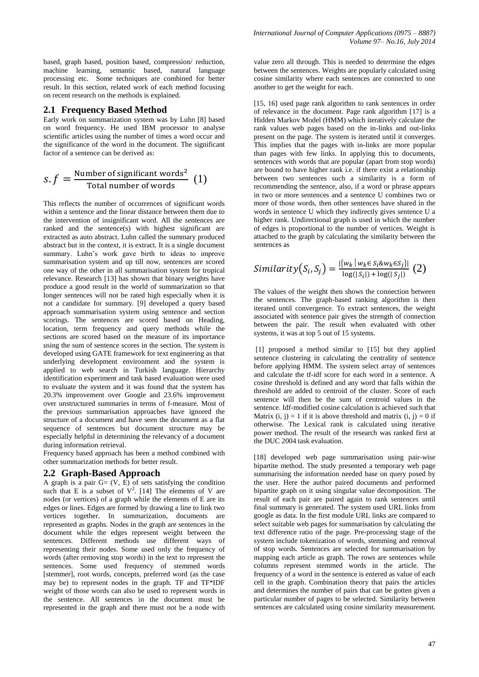based, graph based, position based, compression/ reduction, machine learning, semantic based, natural language processing etc. Some techniques are combined for better result. In this section, related work of each method focusing on recent research on the methods is explained.

#### **2.1 Frequency Based Method**

Early work on summarization system was by Luhn [8] based on word frequency. He used IBM processor to analyse scientific articles using the number of times a word occur and the significance of the word in the document. The significant factor of a sentence can be derived as:

$$
s. f = \frac{\text{Number of significant words}^2}{\text{Total number of words}} \tag{1}
$$

This reflects the number of occurrences of significant words within a sentence and the linear distance between them due to the intervention of insignificant word. All the sentences are ranked and the sentence(s) with highest significant are extracted as auto abstract. Luhn called the summary produced abstract but in the context, it is extract. It is a single document summary. Luhn's work gave birth to ideas to improve summarisation system and up till now, sentences are scored one way of the other in all summarisation system for tropical relevance. Research [13] has shown that binary weights have produce a good result in the world of summarization so that longer sentences will not be rated high especially when it is not a candidate for summary. [9] developed a query based approach summarisation system using sentence and section scorings. The sentences are scored based on Heading, location, term frequency and query methods while the sections are scored based on the measure of its importance using the sum of sentence scores in the section. The system is developed using GATE framework for text engineering as that underlying development environment and the system is applied to web search in Turkish language. Hierarchy identification experiment and task based evaluation were used to evaluate the system and it was found that the system has 20.3% improvement over Google and 23.6% improvement over unstructured summaries in terms of f-measure. Most of the previous summarisation approaches have ignored the structure of a document and have seen the document as a flat sequence of sentences but document structure may be especially helpful in determining the relevancy of a document during information retrieval.

Frequency based approach has been a method combined with other summarization methods for better result.

#### **2.2 Graph-Based Approach**

A graph is a pair  $G = (V, E)$  of sets satisfying the condition such that E is a subset of  $V^2$ . [14] The elements of V are nodes (or vertices) of a graph while the elements of E are its edges or lines. Edges are formed by drawing a line to link two vertices together. In summarization, documents are represented as graphs. Nodes in the graph are sentences in the document while the edges represent weight between the sentences. Different methods use different ways of representing their nodes. Some used only the frequency of words (after removing stop words) in the text to represent the sentences. Some used frequency of stemmed words [stemmer], root words, concepts, preferred word (as the case may be) to represent nodes in the graph. TF and TF\*IDF weight of those words can also be used to represent words in the sentence. All sentences in the document must be represented in the graph and there must not be a node with value zero all through. This is needed to determine the edges between the sentences. Weights are popularly calculated using cosine similarity where each sentences are connected to one another to get the weight for each.

[15, 16] used page rank algorithm to rank sentences in order of relevance in the document. Page rank algorithm [17] is a Hidden Markov Model (HMM) which iteratively calculate the rank values web pages based on the in-links and out-links present on the page. The system is iterated until it converges. This implies that the pages with in-links are more popular than pages with few links. In applying this to documents, sentences with words that are popular (apart from stop words) are bound to have higher rank i.e. if there exist a relationship between two sentences such a similarity is a form of recommending the sentence, also, if a word or phrase appears in two or more sentences and a sentence U combines two or more of those words, then other sentences have shared in the words in sentence U which they indirectly gives sentence U a higher rank. Undirectional graph is used in which the number of edges is proportional to the number of vertices. Weight is attached to the graph by calculating the similarity between the sentences as

Similarly 
$$
(S_i, S_j) = \frac{|\{w_k | w_k \in S_i \& w_k \in S_j\}|}{\log(|S_i|) + \log(|S_j|)}
$$
 (2)

The values of the weight then shows the connection between the sentences. The graph-based ranking algorithm is then iterated until convergence. To extract sentences, the weight associated with sentence pair gives the strength of connection between the pair. The result when evaluated with other systems, it was at top 5 out of 15 systems.

[1] proposed a method similar to [15] but they applied sentence clustering in calculating the centrality of sentence before applying HMM. The system select array of sentences and calculate the tf-idf score for each word in a sentence. A cosine threshold is defined and any word that falls within the threshold are added to centroid of the cluster. Score of each sentence will then be the sum of centroid values in the sentence. Idf-modified cosine calculation is achieved such that Matrix  $(i, j) = 1$  if it is above threshold and matrix  $(i, j) = 0$  if otherwise. The Lexical rank is calculated using iterative power method. The result of the research was ranked first at the DUC 2004 task evaluation.

[18] developed web page summarisation using pair-wise bipartite method. The study presented a temporary web page summarising the information needed base on query posed by the user. Here the author paired documents and performed bipartite graph on it using singular value decomposition. The result of each pair are paired again to rank sentences until final summary is generated. The system used URL links from google as data. In the first module URL links are compared to select suitable web pages for summarisation by calculating the text difference ratio of the page. Pre-processing stage of the system include tokenization of words, stemming and removal of stop words. Sentences are selected for summarisation by mapping each article as graph. The rows are sentences while columns represent stemmed words in the article. The frequency of a word in the sentence is entered as value of each cell in the graph. Combination theory that pairs the articles and determines the number of pairs that can be gotten given a particular number of pages to be selected. Similarity between sentences are calculated using cosine similarity measurement.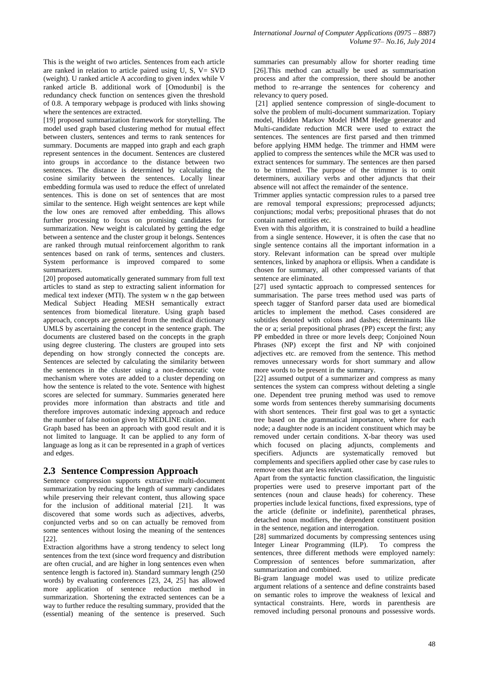This is the weight of two articles. Sentences from each article are ranked in relation to article paired using U, S,  $V = SVD$ (weight). U ranked article A according to given index while V ranked article B. additional work of [Omodunbi] is the redundancy check function on sentences given the threshold of 0.8. A temporary webpage is produced with links showing where the sentences are extracted.

[19] proposed summarization framework for storytelling. The model used graph based clustering method for mutual effect between clusters, sentences and terms to rank sentences for summary. Documents are mapped into graph and each graph represent sentences in the document. Sentences are clustered into groups in accordance to the distance between two sentences. The distance is determined by calculating the cosine similarity between the sentences. Locally linear embedding formula was used to reduce the effect of unrelated sentences. This is done on set of sentences that are most similar to the sentence. High weight sentences are kept while the low ones are removed after embedding. This allows further processing to focus on promising candidates for summarization. New weight is calculated by getting the edge between a sentence and the cluster group it belongs. Sentences are ranked through mutual reinforcement algorithm to rank sentences based on rank of terms, sentences and clusters. System performance is improved compared to some summarizers.

[20] proposed automatically generated summary from full text articles to stand as step to extracting salient information for medical text indexer (MTI). The system w n the gap between Medical Subject Heading MESH semantically extract sentences from biomedical literature. Using graph based approach, concepts are generated from the medical dictionary UMLS by ascertaining the concept in the sentence graph. The documents are clustered based on the concepts in the graph using degree clustering. The clusters are grouped into sets depending on how strongly connected the concepts are. Sentences are selected by calculating the similarity between the sentences in the cluster using a non-democratic vote mechanism where votes are added to a cluster depending on how the sentence is related to the vote. Sentence with highest scores are selected for summary. Summaries generated here provides more information than abstracts and title and therefore improves automatic indexing approach and reduce the number of false notion given by MEDLINE citation.

Graph based has been an approach with good result and it is not limited to language. It can be applied to any form of language as long as it can be represented in a graph of vertices and edges.

## **2.3 Sentence Compression Approach**

Sentence compression supports extractive multi-document summarization by reducing the length of summary candidates while preserving their relevant content, thus allowing space for the inclusion of additional material [21]. It was discovered that some words such as adjectives, adverbs, conjuncted verbs and so on can actually be removed from some sentences without losing the meaning of the sentences [22].

Extraction algorithms have a strong tendency to select long sentences from the text (since word frequency and distribution are often crucial, and are higher in long sentences even when sentence length is factored in). Standard summary length (250 words) by evaluating conferences [23, 24, 25] has allowed more application of sentence reduction method in summarization. Shortening the extracted sentences can be a way to further reduce the resulting summary, provided that the (essential) meaning of the sentence is preserved. Such

summaries can presumably allow for shorter reading time [26].This method can actually be used as summarisation process and after the compression, there should be another method to re-arrange the sentences for coherency and relevancy to query posed.

[21] applied sentence compression of single-document to solve the problem of multi-document summarization. Topiary model, Hidden Markov Model HMM Hedge generator and Multi-candidate reduction MCR were used to extract the sentences. The sentences are first parsed and then trimmed before applying HMM hedge. The trimmer and HMM were applied to compress the sentences while the MCR was used to extract sentences for summary. The sentences are then parsed to be trimmed. The purpose of the trimmer is to omit determiners, auxiliary verbs and other adjuncts that their absence will not affect the remainder of the sentence.

Trimmer applies syntactic compression rules to a parsed tree are removal temporal expressions; preprocessed adjuncts; conjunctions; modal verbs; prepositional phrases that do not contain named entities etc.

Even with this algorithm, it is constrained to build a headline from a single sentence. However, it is often the case that no single sentence contains all the important information in a story. Relevant information can be spread over multiple sentences, linked by anaphora or ellipsis. When a candidate is chosen for summary, all other compressed variants of that sentence are eliminated.

[27] used syntactic approach to compressed sentences for summarisation. The parse trees method used was parts of speech tagger of Stanford parser data used are biomedical articles to implement the method. Cases considered are subtitles denoted with colons and dashes; determinants like the or a; serial prepositional phrases (PP) except the first; any PP embedded in three or more levels deep; Conjoined Noun Phrases (NP) except the first and NP with conjoined adjectives etc. are removed from the sentence. This method removes unnecessary words for short summary and allow more words to be present in the summary.

[22] assumed output of a summarizer and compress as many sentences the system can compress without deleting a single one. Dependent tree pruning method was used to remove some words from sentences thereby summarising documents with short sentences. Their first goal was to get a syntactic tree based on the grammatical importance, where for each node; a daughter node is an incident constituent which may be removed under certain conditions. X-bar theory was used which focused on placing adjuncts, complements and specifiers. Adjuncts are systematically removed but complements and specifiers applied other case by case rules to remove ones that are less relevant.

Apart from the syntactic function classification, the linguistic properties were used to preserve important part of the sentences (noun and clause heads) for coherency. These properties include lexical functions, fixed expressions, type of the article (definite or indefinite), parenthetical phrases, detached noun modifiers, the dependent constituent position in the sentence, negation and interrogation.

[28] summarized documents by compressing sentences using Integer Linear Programming (ILP). To compress the sentences, three different methods were employed namely: Compression of sentences before summarization, after summarization and combined.

Bi-gram language model was used to utilize predicate argument relations of a sentence and define constraints based on semantic roles to improve the weakness of lexical and syntactical constraints. Here, words in parenthesis are removed including personal pronouns and possessive words.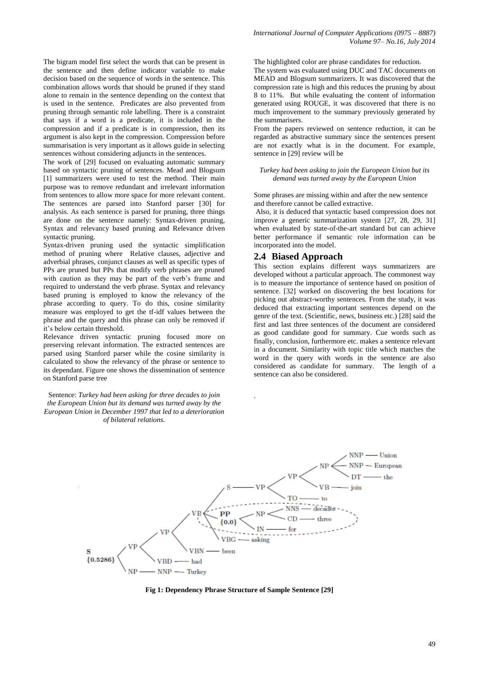The bigram model first select the words that can be present in the sentence and then define indicator variable to make decision based on the sequence of words in the sentence. This combination allows words that should be pruned if they stand alone to remain in the sentence depending on the context that is used in the sentence. Predicates are also prevented from pruning through semantic role labelling. There is a constraint that says if a word is a predicate, it is included in the compression and if a predicate is in compression, then its argument is also kept in the compression. Compression before summarisation is very important as it allows guide in selecting sentences without considering adjuncts in the sentences.

The work of [29] focused on evaluating automatic summary based on syntactic pruning of sentences. Mead and Blogsum [1] summarizers were used to test the method. Their main purpose was to remove redundant and irrelevant information from sentences to allow more space for more relevant content. The sentences are parsed into Stanford parser [30] for analysis. As each sentence is parsed for pruning, three things are done on the sentence namely: Syntax-driven pruning, Syntax and relevancy based pruning and Relevance driven syntactic pruning.

Syntax-driven pruning used the syntactic simplification method of pruning where Relative clauses, adjective and adverbial phrases, conjunct clauses as well as specific types of PPs are pruned but PPs that modify verb phrases are pruned with caution as they may be part of the verb's frame and required to understand the verb phrase. Syntax and relevancy based pruning is employed to know the relevancy of the phrase according to query. To do this, cosine similarity measure was employed to get the tf-idf values between the phrase and the query and this phrase can only be removed if it's below certain threshold.

Relevance driven syntactic pruning focused more on preserving relevant information. The extracted sentences are parsed using Stanford parser while the cosine similarity is calculated to show the relevancy of the phrase or sentence to its dependant. Figure one shows the dissemination of sentence on Stanford parse tree

Sentence: *Turkey had been asking for three decades to join the European Union but its demand was turned away by the European Union in December 1997 that led to a deterioration of bilateral relations.*

The highlighted color are phrase candidates for reduction. The system was evaluated using DUC and TAC documents on MEAD and Blogsum summarizers. It was discovered that the compression rate is high and this reduces the pruning by about 8 to 11%. But while evaluating the content of information generated using ROUGE, it was discovered that there is no much improvement to the summary previously generated by the summarisers.

From the papers reviewed on sentence reduction, it can be regarded as abstractive summary since the sentences present are not exactly what is in the document. For example, sentence in [29] review will be

#### *Turkey had been asking to join the European Union but its demand was turned away by the European Union*

Some phrases are missing within and after the new sentence and therefore cannot be called extractive.

Also, it is deduced that syntactic based compression does not improve a generic summarization system [27, 28, 29, 31] when evaluated by state-of-the-art standard but can achieve better performance if semantic role information can be incorporated into the model.

#### **2.4 Biased Approach**

This section explains different ways summarizers are developed without a particular approach. The commonest way is to measure the importance of sentence based on position of sentence. [32] worked on discovering the best locations for picking out abstract-worthy sentences. From the study, it was deduced that extracting important sentences depend on the genre of the text. (Scientific, news, business etc.) [28] said the first and last three sentences of the document are considered as good candidate good for summary. Cue words such as finally, conclusion, furthermore etc. makes a sentence relevant in a document. Similarity with topic title which matches the word in the query with words in the sentence are also considered as candidate for summary. The length of a sentence can also be considered.



.

**Fig 1: Dependency Phrase Structure of Sample Sentence [29]**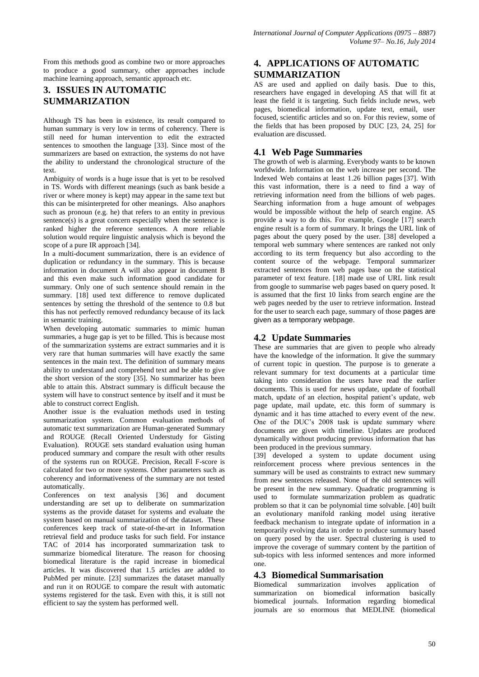From this methods good as combine two or more approaches to produce a good summary, other approaches include machine learning approach, semantic approach etc.

# **3. ISSUES IN AUTOMATIC SUMMARIZATION**

Although TS has been in existence, its result compared to human summary is very low in terms of coherency. There is still need for human intervention to edit the extracted sentences to smoothen the language [33]. Since most of the summarizers are based on extraction, the systems do not have the ability to understand the chronological structure of the text.

Ambiguity of words is a huge issue that is yet to be resolved in TS. Words with different meanings (such as bank beside a river or where money is kept) may appear in the same text but this can be misinterpreted for other meanings. Also anaphors such as pronoun (e.g. he) that refers to an entity in previous sentence(s) is a great concern especially when the sentence is ranked higher the reference sentences. A more reliable solution would require linguistic analysis which is beyond the scope of a pure IR approach [34].

In a multi-document summarization, there is an evidence of duplication or redundancy in the summary. This is because information in document A will also appear in document B and this even make such information good candidate for summary. Only one of such sentence should remain in the summary. [18] used text difference to remove duplicated sentences by setting the threshold of the sentence to 0.8 but this has not perfectly removed redundancy because of its lack in semantic training.

When developing automatic summaries to mimic human summaries, a huge gap is yet to be filled. This is because most of the summarization systems are extract summaries and it is very rare that human summaries will have exactly the same sentences in the main text. The definition of summary means ability to understand and comprehend text and be able to give the short version of the story [35]. No summarizer has been able to attain this. Abstract summary is difficult because the system will have to construct sentence by itself and it must be able to construct correct English.

Another issue is the evaluation methods used in testing summarization system. Common evaluation methods of automatic text summarization are Human-generated Summary and ROUGE (Recall Oriented Understudy for Gisting Evaluation). ROUGE sets standard evaluation using human produced summary and compare the result with other results of the systems run on ROUGE. Precision, Recall F-score is calculated for two or more systems. Other parameters such as coherency and informativeness of the summary are not tested automatically.

Conferences on text analysis [36] and document understanding are set up to deliberate on summarization systems as the provide dataset for systems and evaluate the system based on manual summarization of the dataset. These conferences keep track of state-of-the-art in Information retrieval field and produce tasks for such field. For instance TAC of 2014 has incorporated summarization task to summarize biomedical literature. The reason for choosing biomedical literature is the rapid increase in biomedical articles. It was discovered that 1.5 articles are added to PubMed per minute. [23] summarizes the dataset manually and run it on ROUGE to compare the result with automatic systems registered for the task. Even with this, it is still not efficient to say the system has performed well.

# **4. APPLICATIONS OF AUTOMATIC SUMMARIZATION**

AS are used and applied on daily basis. Due to this, researchers have engaged in developing AS that will fit at least the field it is targeting. Such fields include news, web pages, biomedical information, update text, email, user focused, scientific articles and so on. For this review, some of the fields that has been proposed by DUC [23, 24, 25] for evaluation are discussed.

# **4.1 Web Page Summaries**

The growth of web is alarming. Everybody wants to be known worldwide. Information on the web increase per second. The Indexed Web contains at least 1.26 billion pages [37]. With this vast information, there is a need to find a way of retrieving information need from the billions of web pages. Searching information from a huge amount of webpages would be impossible without the help of search engine. AS provide a way to do this. For example, Google [17] search engine result is a form of summary. It brings the URL link of pages about the query posed by the user. [38] developed a temporal web summary where sentences are ranked not only according to its term frequency but also according to the content source of the webpage. Temporal summarizer extracted sentences from web pages base on the statistical parameter of text feature. [18] made use of URL link result from google to summarise web pages based on query posed. It is assumed that the first 10 links from search engine are the web pages needed by the user to retrieve information. Instead for the user to search each page, summary of those pages are given as a temporary webpage.

# **4.2 Update Summaries**

These are summaries that are given to people who already have the knowledge of the information. It give the summary of current topic in question. The purpose is to generate a relevant summary for text documents at a particular time taking into consideration the users have read the earlier documents. This is used for news update, update of football match, update of an election, hospital patient's update, web page update, mail update, etc. this form of summary is dynamic and it has time attached to every event of the new. One of the DUC's 2008 task is update summary where documents are given with timeline. Updates are produced dynamically without producing previous information that has been produced in the previous summary.

[39] developed a system to update document using reinforcement process where previous sentences in the summary will be used as constraints to extract new summary from new sentences released. None of the old sentences will be present in the new summary. Quadratic programming is used to formulate summarization problem as quadratic problem so that it can be polynomial time solvable. [40] built an evolutionary manifold ranking model using iterative feedback mechanism to integrate update of information in a temporarily evolving data in order to produce summary based on query posed by the user. Spectral clustering is used to improve the coverage of summary content by the partition of sub-topics with less informed sentences and more informed one.

# **4.3 Biomedical Summarisation**

Biomedical summarization involves application of summarization on biomedical information basically biomedical journals. Information regarding biomedical journals are so enormous that MEDLINE (biomedical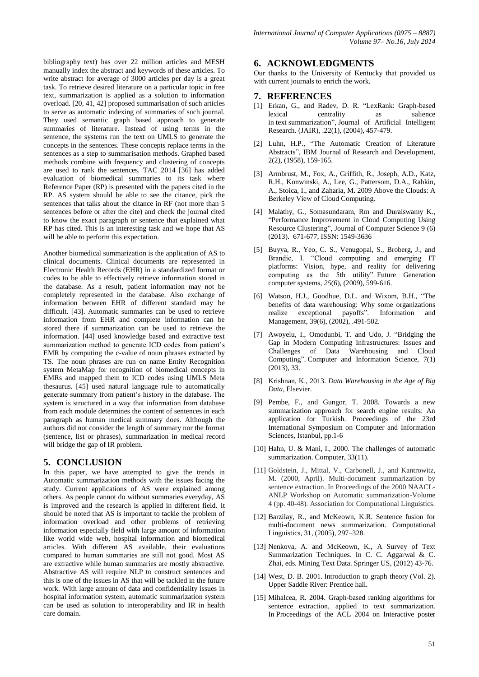bibliography text) has over 22 million articles and MESH manually index the abstract and keywords of these articles. To write abstract for average of 3000 articles per day is a great task. To retrieve desired literature on a particular topic in free text, summarization is applied as a solution to information overload. [20, 41, 42] proposed summarisation of such articles to serve as automatic indexing of summaries of such journal. They used semantic graph based approach to generate summaries of literature. Instead of using terms in the sentence, the systems run the text on UMLS to generate the concepts in the sentences. These concepts replace terms in the sentences as a step to summarisation methods. Graphed based methods combine with frequency and clustering of concepts are used to rank the sentences. TAC 2014 [36] has added evaluation of biomedical summaries to its task where Reference Paper (RP) is presented with the papers cited in the RP. AS system should be able to see the citance, pick the sentences that talks about the citance in RF (not more than 5 sentences before or after the cite) and check the journal cited to know the exact paragraph or sentence that explained what RP has cited. This is an interesting task and we hope that AS will be able to perform this expectation.

Another biomedical summarization is the application of AS to clinical documents. Clinical documents are represented in Electronic Health Records (EHR) in a standardized format or codes to be able to effectively retrieve information stored in the database. As a result, patient information may not be completely represented in the database. Also exchange of information between EHR of different standard may be difficult. [43]. Automatic summaries can be used to retrieve information from EHR and complete information can be stored there if summarization can be used to retrieve the information. [44] used knowledge based and extractive text summarization method to generate ICD codes from patient's EMR by computing the c-value of noun phrases extracted by TS. The noun phrases are run on name Entity Recognition system MetaMap for recognition of biomedical concepts in EMRs and mapped them to ICD codes using UMLS Meta thesaurus. [45] used natural language rule to automatically generate summary from patient's history in the database. The system is structured in a way that information from database from each module determines the content of sentences in each paragraph as human medical summary does. Although the authors did not consider the length of summary nor the format (sentence, list or phrases), summarization in medical record will bridge the gap of IR problem.

# **5. CONCLUSION**

In this paper, we have attempted to give the trends in Automatic summarization methods with the issues facing the study. Current applications of AS were explained among others. As people cannot do without summaries everyday, AS is improved and the research is applied in different field. It should be noted that AS is important to tackle the problem of information overload and other problems of retrieving information especially field with large amount of information like world wide web, hospital information and biomedical articles. With different AS available, their evaluations compared to human summaries are still not good. Most AS are extractive while human summaries are mostly abstractive. Abstractive AS will require NLP to construct sentences and this is one of the issues in AS that will be tackled in the future work. With large amount of data and confidentiality issues in hospital information system, automatic summarization system can be used as solution to interoperability and IR in health care domain.

## **6. ACKNOWLEDGMENTS**

Our thanks to the University of Kentucky that provided us with current journals to enrich the work.

#### **7. REFERENCES**

- [1] Erkan, G., and Radev, D. R. "LexRank: Graph-based lexical centrality as salience in text summarization", Journal of Artificial Intelligent Research. (JAIR), .22(1), (2004), 457-479.
- [2] Luhn, H.P., "The Automatic Creation of Literature Abstracts", IBM Journal of Research and Development, 2(2), (1958), 159-165.
- [3] Armbrust, M., Fox, A., Griffith, R., Joseph, A.D., Katz, R.H., Konwinski, A., Lee, G., Pattersom, D.A., Rabkin, A., Stoica, I., and Zaharia, M. 2009 Above the Clouds: A Berkeley View of Cloud Computing.
- [4] Malathy, G., Somasundaram, Rm and Duraiswamy K., "Performance Improvement in Cloud Computing Using Resource Clustering", Journal of Computer Science 9 (6) (2013). 671-677, ISSN: 1549-3636
- [5] Buyya, R., Yeo, C. S., Venugopal, S., Broberg, J., and Brandic, I. "Cloud computing and emerging IT platforms: Vision, hype, and reality for delivering computing as the 5th utility". Future Generation computer systems, *25*(6), (2009), 599-616.
- [6] Watson, H.J., Goodhue, D.L. and Wixom, B.H., "The benefits of data warehousing: Why some organizations realize exceptional payoffs". Information and Management, 39(6), (2002), .491-502.
- [7] Awoyelu, I., Omodunbi, T. and Udo, J. "Bridging the Gap in Modern Computing Infrastructures: Issues and Challenges of Data Warehousing and Cloud Computing". Computer and Information Science, 7(1) (2013), 33.
- [8] Krishnan, K., 2013. *Data Warehousing in the Age of Big Data*, Elsevier.
- [9] Pembe, F., and Gungor, T. 2008. Towards a new summarization approach for search engine results: An application for Turkish. Proceedings of the 23rd International Symposium on Computer and Information Sciences, Istanbul, pp.1-6
- [10] Hahn, U. & Mani, I., 2000. The challenges of automatic summarization. Computer, 33(11).
- [11] Goldstein, J., Mittal, V., Carbonell, J., and Kantrowitz, M. (2000, April). Multi-document summarization by sentence extraction. In Proceedings of the 2000 NAACL-ANLP Workshop on Automatic summarization-Volume 4 (pp. 40-48). Association for Computational Linguistics.
- [12] Barzilay, R., and McKeown, K.R. Sentence fusion for multi-document news summarization. Computational Linguistics, 31, (2005), 297–328.
- [13] Nenkova, A. and McKeown, K., A Survey of Text Summarization Techniques. In C. C. Aggarwal & C. Zhai, eds. Mining Text Data. Springer US, (2012) 43-76.
- [14] West, D. B. 2001. Introduction to graph theory (Vol. 2). Upper Saddle River: Prentice hall.
- [15] Mihalcea, R. 2004. Graph-based ranking algorithms for sentence extraction, applied to text summarization. In Proceedings of the ACL 2004 on Interactive poster